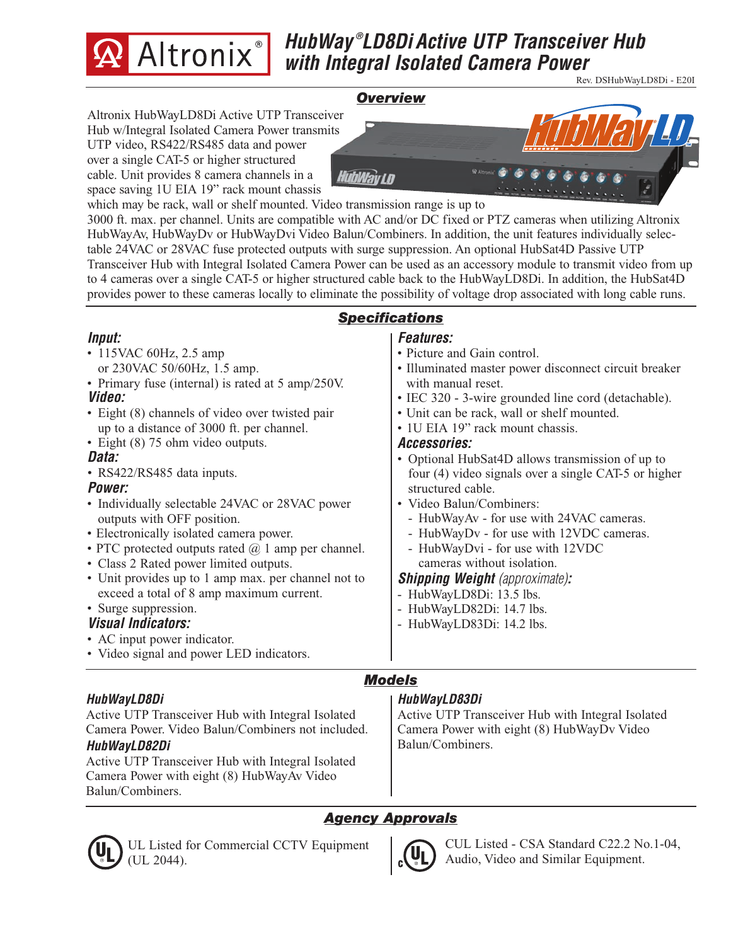

# *HubWay ® LD8Di Active UTP Transceiver Hub with Integral Isolated Camera Power*

Rev. DSHubWayLD8Di - E20I

#### *Overview*

Altronix HubWayLD8Di Active UTP Transceiver Hub w/Integral Isolated Camera Power transmits UTP video, RS422/RS485 data and power over a single CAT-5 or higher structured cable. Unit provides 8 camera channels in a space saving 1U EIA 19" rack mount chassis



which may be rack, wall or shelf mounted. Video transmission range is up to

3000 ft. max. per channel. Units are compatible with AC and/or DC fixed or PTZ cameras when utilizing Altronix HubWayAv, HubWayDv or HubWayDvi Video Balun/Combiners. In addition, the unit features individually selectable 24VAC or 28VAC fuse protected outputs with surge suppression. An optional HubSat4D Passive UTP Transceiver Hub with Integral Isolated Camera Power can be used as an accessory module to transmit video from up to 4 cameras over a single CAT-5 or higher structured cable back to the HubWayLD8Di. In addition, the HubSat4D provides power to these cameras locally to eliminate the possibility of voltage drop associated with long cable runs.

#### *Input:*

- 115VAC 60Hz, 2.5 amp or 230VAC 50/60Hz, 1.5 amp.
- Primary fuse (internal) is rated at 5 amp/250V.
- *Video:*
- Eight (8) channels of video over twisted pair up to a distance of 3000 ft. per channel.
- Eight (8) 75 ohm video outputs.

#### *Data:*

*•* RS422/RS485 data inputs.

#### *Power:*

- Individually selectable 24VAC or 28VAC power outputs with OFF position.
- Electronically isolated camera power.
- PTC protected outputs rated  $\omega$  1 amp per channel.
- Class 2 Rated power limited outputs.
- Unit provides up to 1 amp max. per channel not to exceed a total of 8 amp maximum current.

#### • Surge suppression. *Visual Indicators:*

- 
- AC input power indicator.
- Video signal and power LED indicators.

#### *HubWayLD8Di*

Active UTP Transceiver Hub with Integral Isolated Camera Power. Video Balun/Combiners not included. *HubWayLD82Di*

Active UTP Transceiver Hub with Integral Isolated Camera Power with eight (8) HubWayAv Video Balun/Combiners.

#### *Features: Specifications*

- Picture and Gain control.
- Illuminated master power disconnect circuit breaker with manual reset.
- IEC 320 3-wire grounded line cord (detachable).
- Unit can be rack, wall or shelf mounted.
- 1U EIA 19" rack mount chassis.

#### *Accessories:*

- Optional HubSat4D allows transmission of up to four (4) video signals over a single CAT-5 or higher structured cable.
- Video Balun/Combiners:
	- HubWayAv for use with 24VAC cameras.
	- HubWayDv for use with 12VDC cameras.
	- HubWayDvi for use with 12VDC cameras without isolation.

#### *Shipping Weight (approximate):*

- HubWayLD8Di: 13.5 lbs.
- HubWayLD82Di: 14.7 lbs.
- HubWayLD83Di: 14.2 lbs.

## *Models*

#### *HubWayLD83Di*

Active UTP Transceiver Hub with Integral Isolated Camera Power with eight (8) HubWayDv Video Balun/Combiners.

## *Agency Approvals*



UL Listed for Commercial CCTV Equipment (UL 2044).



CUL Listed - CSA Standard C22.2 No.1-04, Audio, Video and Similar Equipment.